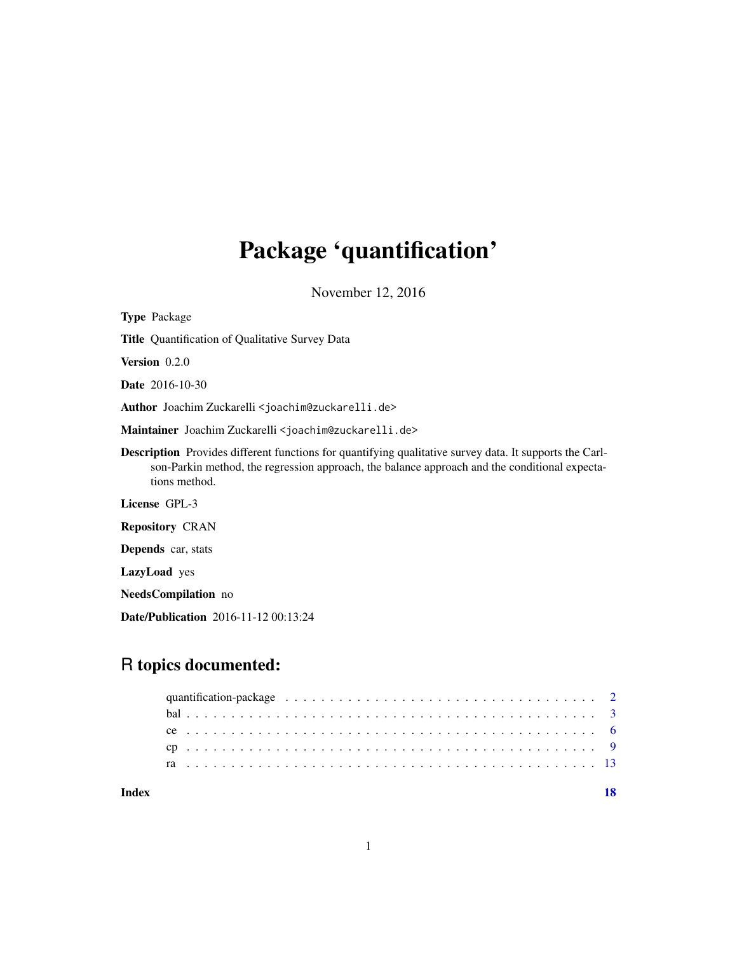## Package 'quantification'

November 12, 2016

Type Package Title Quantification of Qualitative Survey Data Version 0.2.0 Date 2016-10-30 Author Joachim Zuckarelli <joachim@zuckarelli.de> Maintainer Joachim Zuckarelli <joachim@zuckarelli.de> Description Provides different functions for quantifying qualitative survey data. It supports the Carlson-Parkin method, the regression approach, the balance approach and the conditional expectations method. License GPL-3 Repository CRAN Depends car, stats LazyLoad yes NeedsCompilation no

Date/Publication 2016-11-12 00:13:24

## R topics documented:

|       | quantification-package $\ldots \ldots \ldots \ldots \ldots \ldots \ldots \ldots \ldots \ldots \ldots \ldots \ldots 2$ |  |  |  |  |  |  |  |  |  |  |  |  |  |  |  |  |  |  |  |  |  |  |  |  |
|-------|-----------------------------------------------------------------------------------------------------------------------|--|--|--|--|--|--|--|--|--|--|--|--|--|--|--|--|--|--|--|--|--|--|--|--|
|       |                                                                                                                       |  |  |  |  |  |  |  |  |  |  |  |  |  |  |  |  |  |  |  |  |  |  |  |  |
|       |                                                                                                                       |  |  |  |  |  |  |  |  |  |  |  |  |  |  |  |  |  |  |  |  |  |  |  |  |
|       |                                                                                                                       |  |  |  |  |  |  |  |  |  |  |  |  |  |  |  |  |  |  |  |  |  |  |  |  |
|       |                                                                                                                       |  |  |  |  |  |  |  |  |  |  |  |  |  |  |  |  |  |  |  |  |  |  |  |  |
| Index |                                                                                                                       |  |  |  |  |  |  |  |  |  |  |  |  |  |  |  |  |  |  |  |  |  |  |  |  |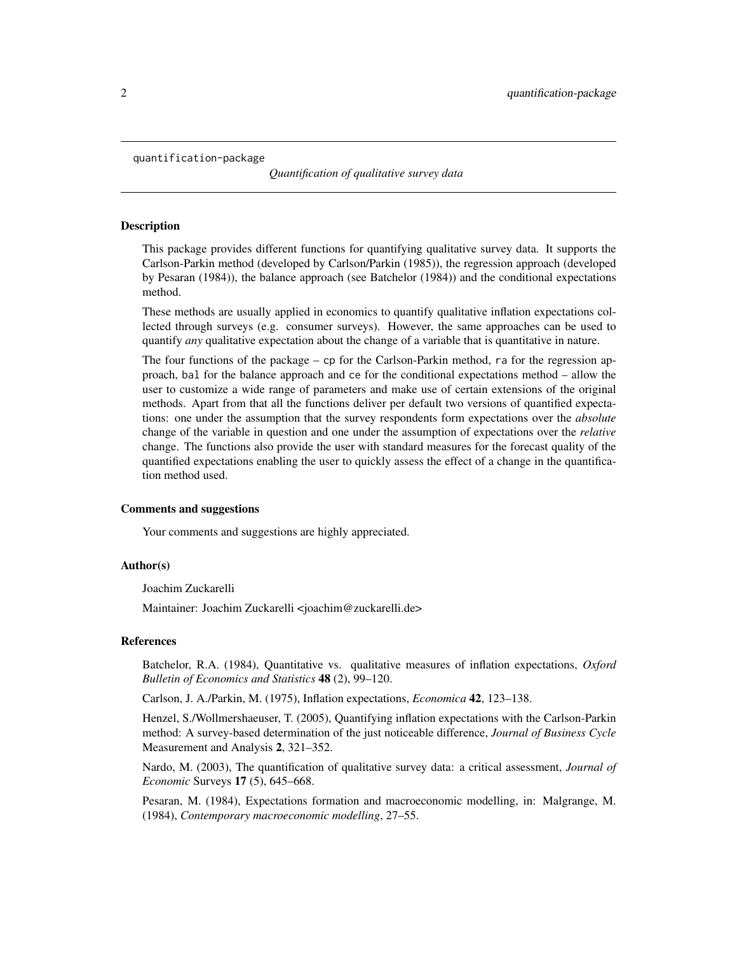<span id="page-1-1"></span><span id="page-1-0"></span>quantification-package

*Quantification of qualitative survey data*

#### **Description**

This package provides different functions for quantifying qualitative survey data. It supports the Carlson-Parkin method (developed by Carlson/Parkin (1985)), the regression approach (developed by Pesaran (1984)), the balance approach (see Batchelor (1984)) and the conditional expectations method.

These methods are usually applied in economics to quantify qualitative inflation expectations collected through surveys (e.g. consumer surveys). However, the same approaches can be used to quantify *any* qualitative expectation about the change of a variable that is quantitative in nature.

The four functions of the package – cp for the Carlson-Parkin method, ra for the regression approach, bal for the balance approach and ce for the conditional expectations method – allow the user to customize a wide range of parameters and make use of certain extensions of the original methods. Apart from that all the functions deliver per default two versions of quantified expectations: one under the assumption that the survey respondents form expectations over the *absolute* change of the variable in question and one under the assumption of expectations over the *relative* change. The functions also provide the user with standard measures for the forecast quality of the quantified expectations enabling the user to quickly assess the effect of a change in the quantification method used.

#### Comments and suggestions

Your comments and suggestions are highly appreciated.

#### Author(s)

Joachim Zuckarelli

Maintainer: Joachim Zuckarelli <joachim@zuckarelli.de>

#### References

Batchelor, R.A. (1984), Quantitative vs. qualitative measures of inflation expectations, *Oxford Bulletin of Economics and Statistics* 48 (2), 99–120.

Carlson, J. A./Parkin, M. (1975), Inflation expectations, *Economica* 42, 123–138.

Henzel, S./Wollmershaeuser, T. (2005), Quantifying inflation expectations with the Carlson-Parkin method: A survey-based determination of the just noticeable difference, *Journal of Business Cycle* Measurement and Analysis 2, 321–352.

Nardo, M. (2003), The quantification of qualitative survey data: a critical assessment, *Journal of Economic* Surveys 17 (5), 645–668.

Pesaran, M. (1984), Expectations formation and macroeconomic modelling, in: Malgrange, M. (1984), *Contemporary macroeconomic modelling*, 27–55.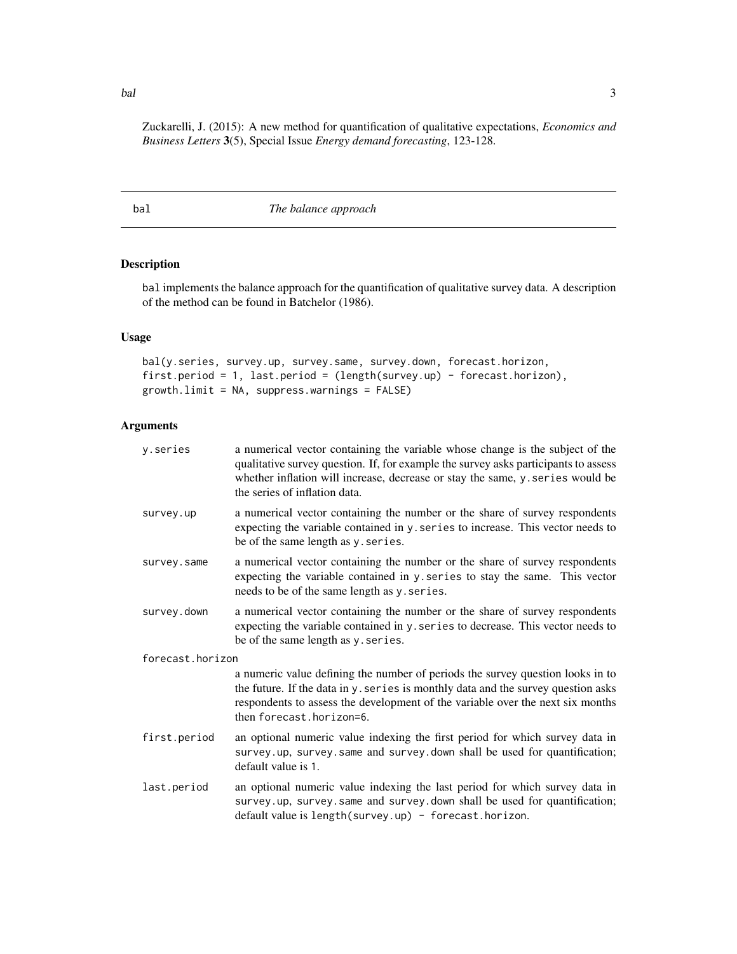Zuckarelli, J. (2015): A new method for quantification of qualitative expectations, *Economics and Business Letters* 3(5), Special Issue *Energy demand forecasting*, 123-128.

<span id="page-2-1"></span>bal *The balance approach*

Description

bal implements the balance approach for the quantification of qualitative survey data. A description of the method can be found in Batchelor (1986).

### Usage

bal(y.series, survey.up, survey.same, survey.down, forecast.horizon, first.period = 1, last.period = (length(survey.up) - forecast.horizon), growth.limit = NA, suppress.warnings = FALSE)

### Arguments

| y.series         | a numerical vector containing the variable whose change is the subject of the<br>qualitative survey question. If, for example the survey asks participants to assess<br>whether inflation will increase, decrease or stay the same, y. series would be<br>the series of inflation data. |
|------------------|-----------------------------------------------------------------------------------------------------------------------------------------------------------------------------------------------------------------------------------------------------------------------------------------|
| survey.up        | a numerical vector containing the number or the share of survey respondents<br>expecting the variable contained in y. series to increase. This vector needs to<br>be of the same length as y. series.                                                                                   |
| survey.same      | a numerical vector containing the number or the share of survey respondents<br>expecting the variable contained in y. series to stay the same. This vector<br>needs to be of the same length as y. series.                                                                              |
| survey.down      | a numerical vector containing the number or the share of survey respondents<br>expecting the variable contained in y. series to decrease. This vector needs to<br>be of the same length as y. series.                                                                                   |
| forecast.horizon |                                                                                                                                                                                                                                                                                         |
|                  | a numeric value defining the number of periods the survey question looks in to<br>the future. If the data in y. series is monthly data and the survey question asks<br>respondents to assess the development of the variable over the next six months<br>then forecast.horizon=6.       |
| first.period     | an optional numeric value indexing the first period for which survey data in<br>survey.up, survey.same and survey.down shall be used for quantification;<br>default value is 1.                                                                                                         |
| last.period      | an optional numeric value indexing the last period for which survey data in<br>survey.up, survey.same and survey.down shall be used for quantification;<br>default value is length(survey.up) - forecast.horizon.                                                                       |

<span id="page-2-0"></span>bal 3 and 3 and 3 and 3 and 3 and 3 and 3 and 3 and 3 and 3 and 3 and 3 and 3 and 3 and 3 and 3 and 3 and 3 and 3 and 3 and 3 and 3 and 3 and 3 and 3 and 3 and 3 and 3 and 3 and 3 and 3 and 3 and 3 and 3 and 3 and 3 and 3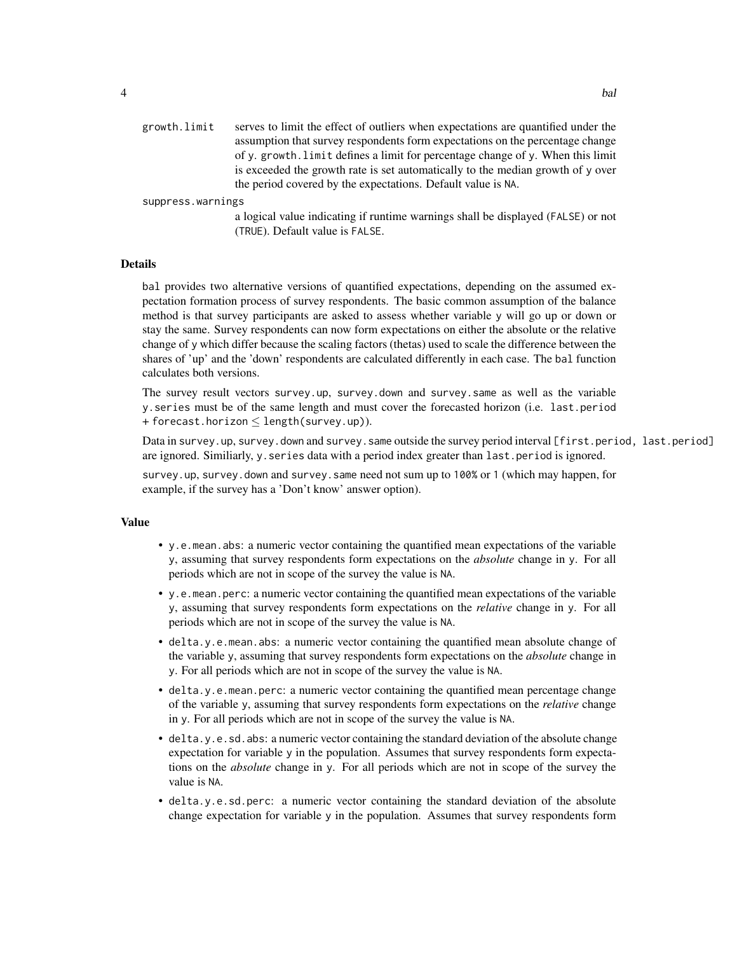suppress.warnings

a logical value indicating if runtime warnings shall be displayed (FALSE) or not (TRUE). Default value is FALSE.

#### Details

bal provides two alternative versions of quantified expectations, depending on the assumed expectation formation process of survey respondents. The basic common assumption of the balance method is that survey participants are asked to assess whether variable y will go up or down or stay the same. Survey respondents can now form expectations on either the absolute or the relative change of y which differ because the scaling factors (thetas) used to scale the difference between the shares of 'up' and the 'down' respondents are calculated differently in each case. The bal function calculates both versions.

The survey result vectors survey.up, survey.down and survey.same as well as the variable y.series must be of the same length and must cover the forecasted horizon (i.e. last.period + forecast.horizon ≤ length(survey.up)).

Data in survey.up, survey.down and survey.same outside the survey period interval [first.period, last.period] are ignored. Similiarly, y. series data with a period index greater than last.period is ignored.

survey.up, survey.down and survey.same need not sum up to 100% or 1 (which may happen, for example, if the survey has a 'Don't know' answer option).

#### Value

- y.e.mean.abs: a numeric vector containing the quantified mean expectations of the variable y, assuming that survey respondents form expectations on the *absolute* change in y. For all periods which are not in scope of the survey the value is NA.
- y.e.mean.perc: a numeric vector containing the quantified mean expectations of the variable y, assuming that survey respondents form expectations on the *relative* change in y. For all periods which are not in scope of the survey the value is NA.
- delta.y.e.mean.abs: a numeric vector containing the quantified mean absolute change of the variable y, assuming that survey respondents form expectations on the *absolute* change in y. For all periods which are not in scope of the survey the value is NA.
- delta.y.e.mean.perc: a numeric vector containing the quantified mean percentage change of the variable y, assuming that survey respondents form expectations on the *relative* change in y. For all periods which are not in scope of the survey the value is NA.
- delta.y.e.sd.abs: a numeric vector containing the standard deviation of the absolute change expectation for variable y in the population. Assumes that survey respondents form expectations on the *absolute* change in y. For all periods which are not in scope of the survey the value is NA.
- delta.y.e.sd.perc: a numeric vector containing the standard deviation of the absolute change expectation for variable y in the population. Assumes that survey respondents form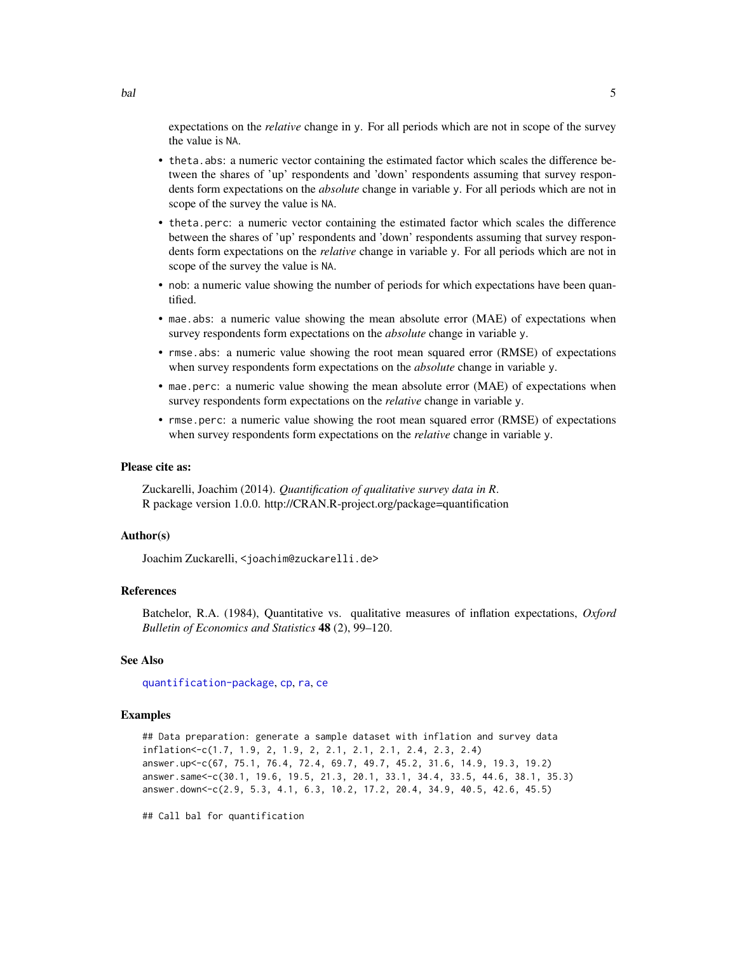<span id="page-4-0"></span>expectations on the *relative* change in y. For all periods which are not in scope of the survey the value is NA.

- theta.abs: a numeric vector containing the estimated factor which scales the difference between the shares of 'up' respondents and 'down' respondents assuming that survey respondents form expectations on the *absolute* change in variable y. For all periods which are not in scope of the survey the value is NA.
- theta.perc: a numeric vector containing the estimated factor which scales the difference between the shares of 'up' respondents and 'down' respondents assuming that survey respondents form expectations on the *relative* change in variable y. For all periods which are not in scope of the survey the value is NA.
- nob: a numeric value showing the number of periods for which expectations have been quantified.
- mae.abs: a numeric value showing the mean absolute error (MAE) of expectations when survey respondents form expectations on the *absolute* change in variable y.
- rmse.abs: a numeric value showing the root mean squared error (RMSE) of expectations when survey respondents form expectations on the *absolute* change in variable y.
- mae.perc: a numeric value showing the mean absolute error (MAE) of expectations when survey respondents form expectations on the *relative* change in variable y.
- rmse.perc: a numeric value showing the root mean squared error (RMSE) of expectations when survey respondents form expectations on the *relative* change in variable y.

#### Please cite as:

Zuckarelli, Joachim (2014). *Quantification of qualitative survey data in R*. R package version 1.0.0. http://CRAN.R-project.org/package=quantification

#### Author(s)

Joachim Zuckarelli, <joachim@zuckarelli.de>

#### References

Batchelor, R.A. (1984), Quantitative vs. qualitative measures of inflation expectations, *Oxford Bulletin of Economics and Statistics* 48 (2), 99–120.

#### See Also

[quantification-package](#page-1-1), [cp](#page-8-1), [ra](#page-12-1), [ce](#page-5-1)

#### Examples

```
## Data preparation: generate a sample dataset with inflation and survey data
inflation<-c(1.7, 1.9, 2, 1.9, 2, 2.1, 2.1, 2.1, 2.4, 2.3, 2.4)
answer.up<-c(67, 75.1, 76.4, 72.4, 69.7, 49.7, 45.2, 31.6, 14.9, 19.3, 19.2)
answer.same<-c(30.1, 19.6, 19.5, 21.3, 20.1, 33.1, 34.4, 33.5, 44.6, 38.1, 35.3)
answer.down<-c(2.9, 5.3, 4.1, 6.3, 10.2, 17.2, 20.4, 34.9, 40.5, 42.6, 45.5)
```
## Call bal for quantification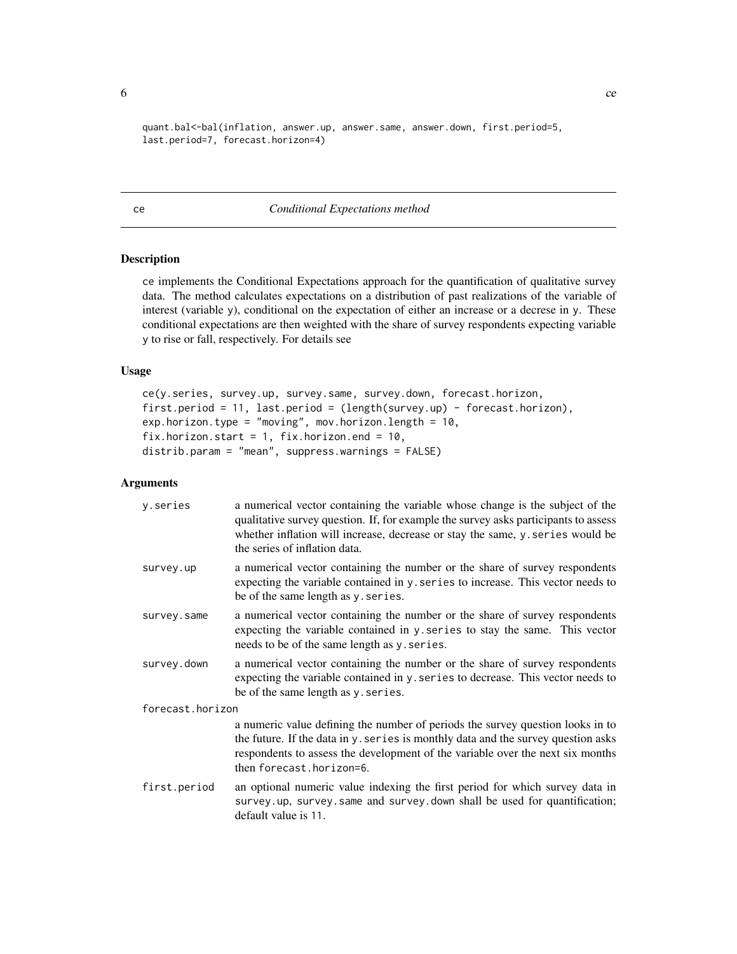```
quant.bal<-bal(inflation, answer.up, answer.same, answer.down, first.period=5,
last.period=7, forecast.horizon=4)
```
#### <span id="page-5-1"></span>ce *Conditional Expectations method*

### Description

ce implements the Conditional Expectations approach for the quantification of qualitative survey data. The method calculates expectations on a distribution of past realizations of the variable of interest (variable y), conditional on the expectation of either an increase or a decrese in y. These conditional expectations are then weighted with the share of survey respondents expecting variable y to rise or fall, respectively. For details see

### Usage

```
ce(y.series, survey.up, survey.same, survey.down, forecast.horizon,
first.period = 11, last.period = (length(survey.up) - forecast.horizon),
exp.horizon.type = "moving", mov.horizon.length = 10,
fix.horizon.start = 1, fix.horizon.end = 10,
distrib.param = "mean", suppress.warnings = FALSE)
```
#### Arguments

| y.series         | a numerical vector containing the variable whose change is the subject of the<br>qualitative survey question. If, for example the survey asks participants to assess<br>whether inflation will increase, decrease or stay the same, y. series would be<br>the series of inflation data. |  |  |  |  |  |  |
|------------------|-----------------------------------------------------------------------------------------------------------------------------------------------------------------------------------------------------------------------------------------------------------------------------------------|--|--|--|--|--|--|
| survey.up        | a numerical vector containing the number or the share of survey respondents<br>expecting the variable contained in y. series to increase. This vector needs to<br>be of the same length as y. series.                                                                                   |  |  |  |  |  |  |
| survey.same      | a numerical vector containing the number or the share of survey respondents<br>expecting the variable contained in y. series to stay the same. This vector<br>needs to be of the same length as y. series.                                                                              |  |  |  |  |  |  |
| survey.down      | a numerical vector containing the number or the share of survey respondents<br>expecting the variable contained in y. series to decrease. This vector needs to<br>be of the same length as y series.                                                                                    |  |  |  |  |  |  |
| forecast.horizon |                                                                                                                                                                                                                                                                                         |  |  |  |  |  |  |
|                  | a numeric value defining the number of periods the survey question looks in to<br>the future. If the data in y. series is monthly data and the survey question asks<br>respondents to assess the development of the variable over the next six months<br>then forecast.horizon=6.       |  |  |  |  |  |  |
| first.period     | an optional numeric value indexing the first period for which survey data in<br>survey.up, survey.same and survey.down shall be used for quantification;<br>default value is 11.                                                                                                        |  |  |  |  |  |  |

<span id="page-5-0"></span> $\epsilon$  6 centres to the contract of the contract of the contract of the contract of the contract of the contract of the contract of the contract of the contract of the contract of the contract of the contract of the contrac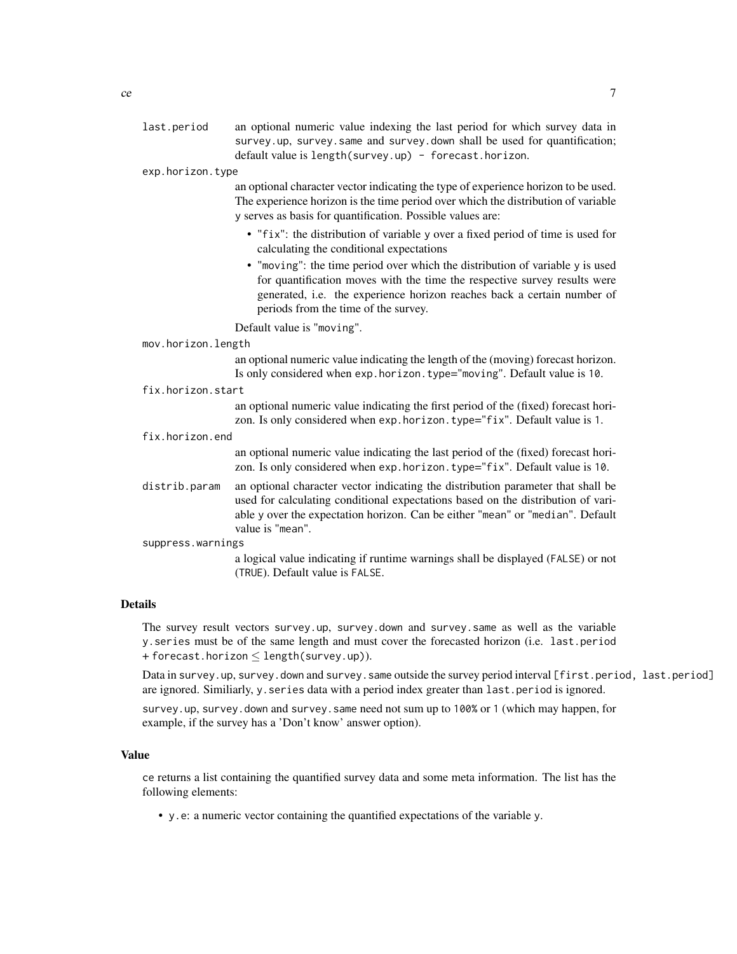last.period an optional numeric value indexing the last period for which survey data in survey.up, survey.same and survey.down shall be used for quantification; default value is length(survey.up) - forecast.horizon.

exp.horizon.type

an optional character vector indicating the type of experience horizon to be used. The experience horizon is the time period over which the distribution of variable y serves as basis for quantification. Possible values are:

- "fix": the distribution of variable y over a fixed period of time is used for calculating the conditional expectations
- "moving": the time period over which the distribution of variable y is used for quantification moves with the time the respective survey results were generated, i.e. the experience horizon reaches back a certain number of periods from the time of the survey.

Default value is "moving".

| mov.horizon.length |                                                                                                                                                                                                                                                                            |  |  |  |  |  |
|--------------------|----------------------------------------------------------------------------------------------------------------------------------------------------------------------------------------------------------------------------------------------------------------------------|--|--|--|--|--|
|                    | an optional numeric value indicating the length of the (moving) forecast horizon.<br>Is only considered when exp. horizon. type="moving". Default value is 10.                                                                                                             |  |  |  |  |  |
| fix.horizon.start  |                                                                                                                                                                                                                                                                            |  |  |  |  |  |
|                    | an optional numeric value indicating the first period of the (fixed) forecast hori-<br>zon. Is only considered when exp. horizon. type="fix". Default value is 1.                                                                                                          |  |  |  |  |  |
| fix.horizon.end    |                                                                                                                                                                                                                                                                            |  |  |  |  |  |
|                    | an optional numeric value indicating the last period of the (fixed) forecast hori-<br>zon. Is only considered when exp. horizon. type="fix". Default value is 10.                                                                                                          |  |  |  |  |  |
| distrib.param      | an optional character vector indicating the distribution parameter that shall be<br>used for calculating conditional expectations based on the distribution of vari-<br>able y over the expectation horizon. Can be either "mean" or "median". Default<br>value is "mean". |  |  |  |  |  |
| suppress.warnings  |                                                                                                                                                                                                                                                                            |  |  |  |  |  |
|                    | a logical value indicating if runtime warnings shall be displayed (FALSE) or not<br>(TRUE). Default value is FALSE.                                                                                                                                                        |  |  |  |  |  |

#### Details

The survey result vectors survey.up, survey.down and survey.same as well as the variable y.series must be of the same length and must cover the forecasted horizon (i.e. last.period + forecast.horizon  $\leq$  length(survey.up)).

Data in survey.up, survey.down and survey.same outside the survey period interval [first.period, last.period] are ignored. Similiarly, y. series data with a period index greater than last.period is ignored.

survey.up, survey.down and survey.same need not sum up to 100% or 1 (which may happen, for example, if the survey has a 'Don't know' answer option).

#### Value

ce returns a list containing the quantified survey data and some meta information. The list has the following elements:

• y.e: a numeric vector containing the quantified expectations of the variable y.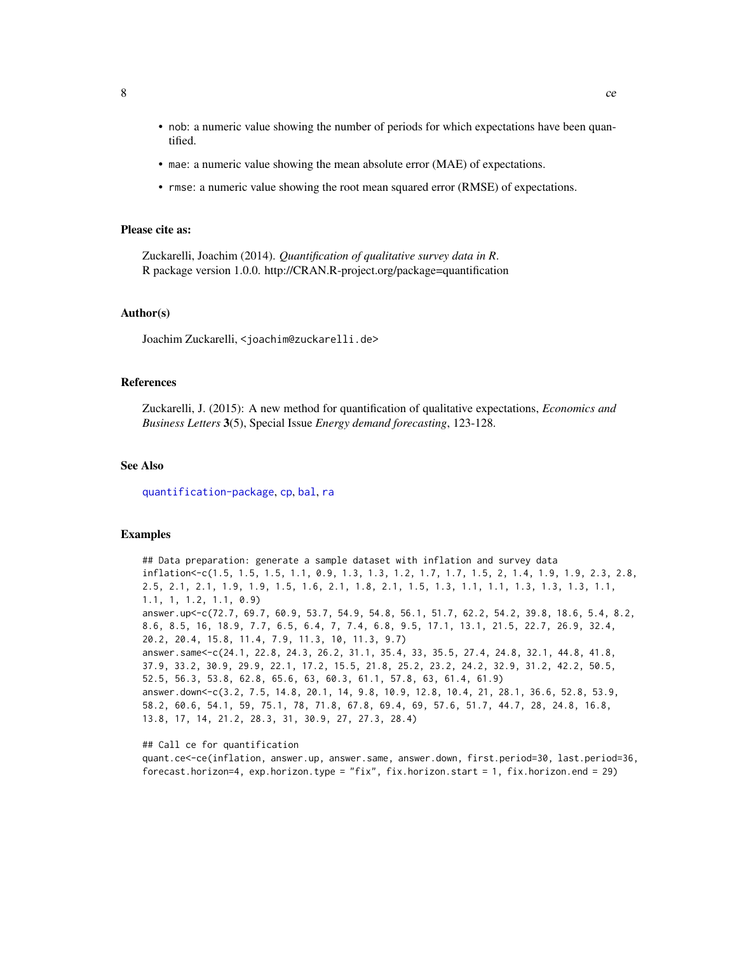- <span id="page-7-0"></span>• nob: a numeric value showing the number of periods for which expectations have been quantified.
- mae: a numeric value showing the mean absolute error (MAE) of expectations.
- rmse: a numeric value showing the root mean squared error (RMSE) of expectations.

#### Please cite as:

Zuckarelli, Joachim (2014). *Quantification of qualitative survey data in R*. R package version 1.0.0. http://CRAN.R-project.org/package=quantification

#### Author(s)

Joachim Zuckarelli, <joachim@zuckarelli.de>

#### References

Zuckarelli, J. (2015): A new method for quantification of qualitative expectations, *Economics and Business Letters* 3(5), Special Issue *Energy demand forecasting*, 123-128.

#### See Also

[quantification-package](#page-1-1), [cp](#page-8-1), [bal](#page-2-1), [ra](#page-12-1)

#### Examples

## Data preparation: generate a sample dataset with inflation and survey data inflation<-c(1.5, 1.5, 1.5, 1.1, 0.9, 1.3, 1.3, 1.2, 1.7, 1.7, 1.5, 2, 1.4, 1.9, 1.9, 2.3, 2.8, 2.5, 2.1, 2.1, 1.9, 1.9, 1.5, 1.6, 2.1, 1.8, 2.1, 1.5, 1.3, 1.1, 1.1, 1.3, 1.3, 1.3, 1.1, 1.1, 1, 1.2, 1.1, 0.9) answer.up<-c(72.7, 69.7, 60.9, 53.7, 54.9, 54.8, 56.1, 51.7, 62.2, 54.2, 39.8, 18.6, 5.4, 8.2, 8.6, 8.5, 16, 18.9, 7.7, 6.5, 6.4, 7, 7.4, 6.8, 9.5, 17.1, 13.1, 21.5, 22.7, 26.9, 32.4, 20.2, 20.4, 15.8, 11.4, 7.9, 11.3, 10, 11.3, 9.7) answer.same<-c(24.1, 22.8, 24.3, 26.2, 31.1, 35.4, 33, 35.5, 27.4, 24.8, 32.1, 44.8, 41.8, 37.9, 33.2, 30.9, 29.9, 22.1, 17.2, 15.5, 21.8, 25.2, 23.2, 24.2, 32.9, 31.2, 42.2, 50.5, 52.5, 56.3, 53.8, 62.8, 65.6, 63, 60.3, 61.1, 57.8, 63, 61.4, 61.9) answer.down<-c(3.2, 7.5, 14.8, 20.1, 14, 9.8, 10.9, 12.8, 10.4, 21, 28.1, 36.6, 52.8, 53.9, 58.2, 60.6, 54.1, 59, 75.1, 78, 71.8, 67.8, 69.4, 69, 57.6, 51.7, 44.7, 28, 24.8, 16.8, 13.8, 17, 14, 21.2, 28.3, 31, 30.9, 27, 27.3, 28.4)

## Call ce for quantification quant.ce<-ce(inflation, answer.up, answer.same, answer.down, first.period=30, last.period=36, forecast.horizon=4, exp.horizon.type = "fix", fix.horizon.start = 1, fix.horizon.end = 29)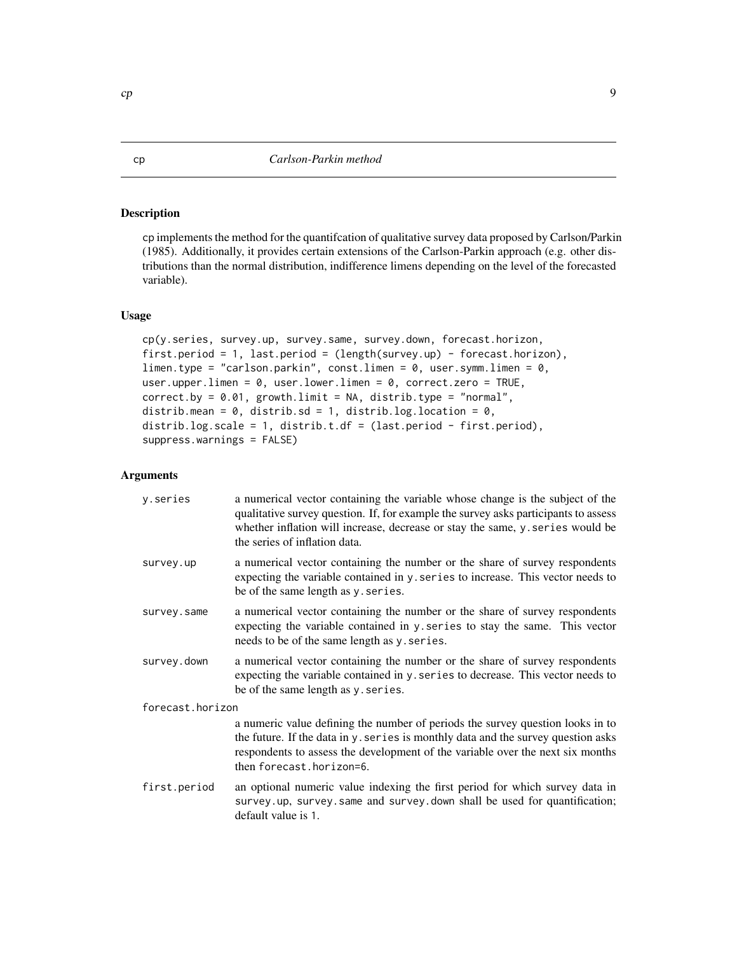#### <span id="page-8-1"></span><span id="page-8-0"></span>Description

cp implements the method for the quantifcation of qualitative survey data proposed by Carlson/Parkin (1985). Additionally, it provides certain extensions of the Carlson-Parkin approach (e.g. other distributions than the normal distribution, indifference limens depending on the level of the forecasted variable).

#### Usage

```
cp(y.series, survey.up, survey.same, survey.down, forecast.horizon,
first.period = 1, last.period = (length(survey.up) - forecast.horizon),
limen.type = "carlson.parkin", const.limen = 0, user.symm.limen = 0,
user.upper.limen = 0, user.lower.limen = 0, correct.zero = TRUE,
correct.py = 0.01, growthu = NA, distrib_type = "normal",distrib.mean = 0, distrib.sd = 1, distrib.log.location = 0,
distrib.log.scale = 1, distrib.t.df = (last.period - first.period),
suppress.warnings = FALSE)
```
#### Arguments

| y.series         | a numerical vector containing the variable whose change is the subject of the<br>qualitative survey question. If, for example the survey asks participants to assess<br>whether inflation will increase, decrease or stay the same, y. series would be<br>the series of inflation data. |
|------------------|-----------------------------------------------------------------------------------------------------------------------------------------------------------------------------------------------------------------------------------------------------------------------------------------|
| survey.up        | a numerical vector containing the number or the share of survey respondents<br>expecting the variable contained in y. series to increase. This vector needs to<br>be of the same length as y. series.                                                                                   |
| survey.same      | a numerical vector containing the number or the share of survey respondents<br>expecting the variable contained in y series to stay the same. This vector<br>needs to be of the same length as y. series.                                                                               |
| survey.down      | a numerical vector containing the number or the share of survey respondents<br>expecting the variable contained in y. series to decrease. This vector needs to<br>be of the same length as y. series.                                                                                   |
| forecast.horizon |                                                                                                                                                                                                                                                                                         |
|                  | a numeric value defining the number of periods the survey question looks in to<br>the future. If the data in y. series is monthly data and the survey question asks<br>respondents to assess the development of the variable over the next six months<br>then forecast.horizon=6.       |
| first.period     | an optional numeric value indexing the first period for which survey data in<br>survey.up, survey.same and survey.down shall be used for quantification;<br>default value is 1.                                                                                                         |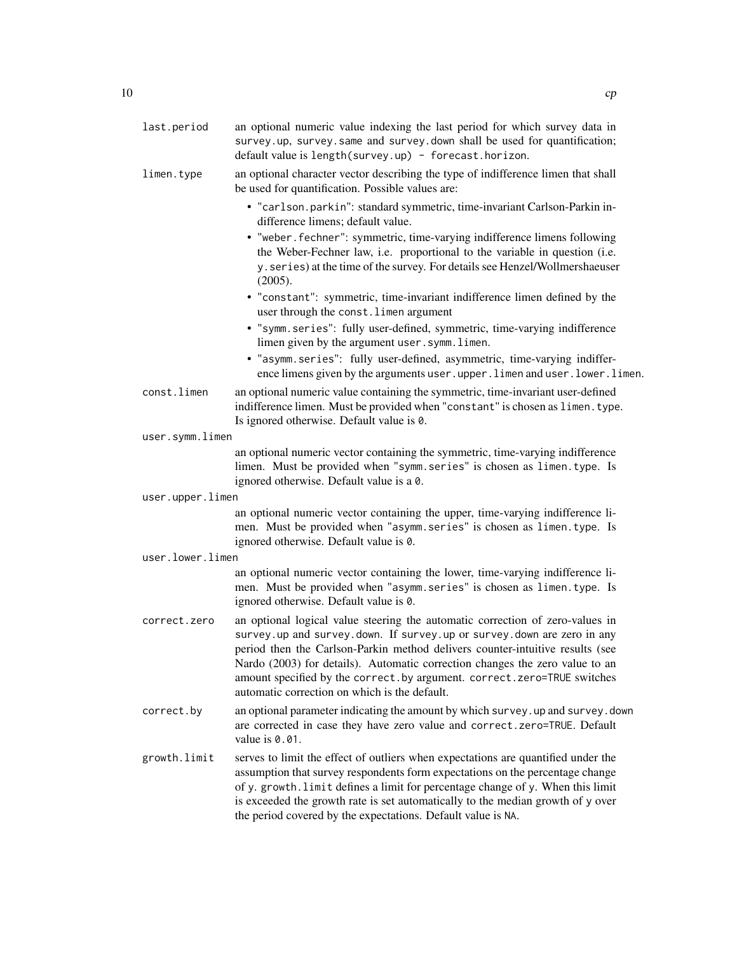| last.period      | an optional numeric value indexing the last period for which survey data in<br>survey.up, survey.same and survey.down shall be used for quantification;<br>default value is length(survey.up) - forecast.horizon.                                                                                                                                                                                                                                          |
|------------------|------------------------------------------------------------------------------------------------------------------------------------------------------------------------------------------------------------------------------------------------------------------------------------------------------------------------------------------------------------------------------------------------------------------------------------------------------------|
| limen.type       | an optional character vector describing the type of indifference limen that shall<br>be used for quantification. Possible values are:                                                                                                                                                                                                                                                                                                                      |
|                  | • "carlson.parkin": standard symmetric, time-invariant Carlson-Parkin in-<br>difference limens; default value.                                                                                                                                                                                                                                                                                                                                             |
|                  | • "weber. fechner": symmetric, time-varying indifference limens following<br>the Weber-Fechner law, i.e. proportional to the variable in question (i.e.<br>y. series) at the time of the survey. For details see Henzel/Wollmershaeuser<br>(2005).                                                                                                                                                                                                         |
|                  | • "constant": symmetric, time-invariant indifference limen defined by the<br>user through the const. limen argument                                                                                                                                                                                                                                                                                                                                        |
|                  | • "symm.series": fully user-defined, symmetric, time-varying indifference<br>limen given by the argument user.symm.limen.                                                                                                                                                                                                                                                                                                                                  |
|                  | · "asymm.series": fully user-defined, asymmetric, time-varying indiffer-<br>ence limens given by the arguments user.upper.limen and user.lower.limen.                                                                                                                                                                                                                                                                                                      |
| const.limen      | an optional numeric value containing the symmetric, time-invariant user-defined<br>indifference limen. Must be provided when "constant" is chosen as limen. type.<br>Is ignored otherwise. Default value is 0.                                                                                                                                                                                                                                             |
| user.symm.limen  |                                                                                                                                                                                                                                                                                                                                                                                                                                                            |
|                  | an optional numeric vector containing the symmetric, time-varying indifference<br>limen. Must be provided when "symm.series" is chosen as limen.type. Is<br>ignored otherwise. Default value is a 0.                                                                                                                                                                                                                                                       |
| user.upper.limen |                                                                                                                                                                                                                                                                                                                                                                                                                                                            |
|                  | an optional numeric vector containing the upper, time-varying indifference li-<br>men. Must be provided when "asymm. series" is chosen as limen. type. Is<br>ignored otherwise. Default value is 0.                                                                                                                                                                                                                                                        |
| user.lower.limen |                                                                                                                                                                                                                                                                                                                                                                                                                                                            |
|                  | an optional numeric vector containing the lower, time-varying indifference li-<br>men. Must be provided when "asymm. series" is chosen as limen. type. Is<br>ignored otherwise. Default value is 0.                                                                                                                                                                                                                                                        |
| correct.zero     | an optional logical value steering the automatic correction of zero-values in<br>survey. up and survey. down. If survey. up or survey. down are zero in any<br>period then the Carlson-Parkin method delivers counter-intuitive results (see<br>Nardo (2003) for details). Automatic correction changes the zero value to an<br>amount specified by the correct. by argument. correct. zero=TRUE switches<br>automatic correction on which is the default. |
| correct.by       | an optional parameter indicating the amount by which survey. up and survey. down<br>are corrected in case they have zero value and correct.zero=TRUE. Default<br>value is 0.01.                                                                                                                                                                                                                                                                            |
| growth.limit     | serves to limit the effect of outliers when expectations are quantified under the<br>assumption that survey respondents form expectations on the percentage change<br>of y. growth. limit defines a limit for percentage change of y. When this limit<br>is exceeded the growth rate is set automatically to the median growth of y over<br>the period covered by the expectations. Default value is NA.                                                   |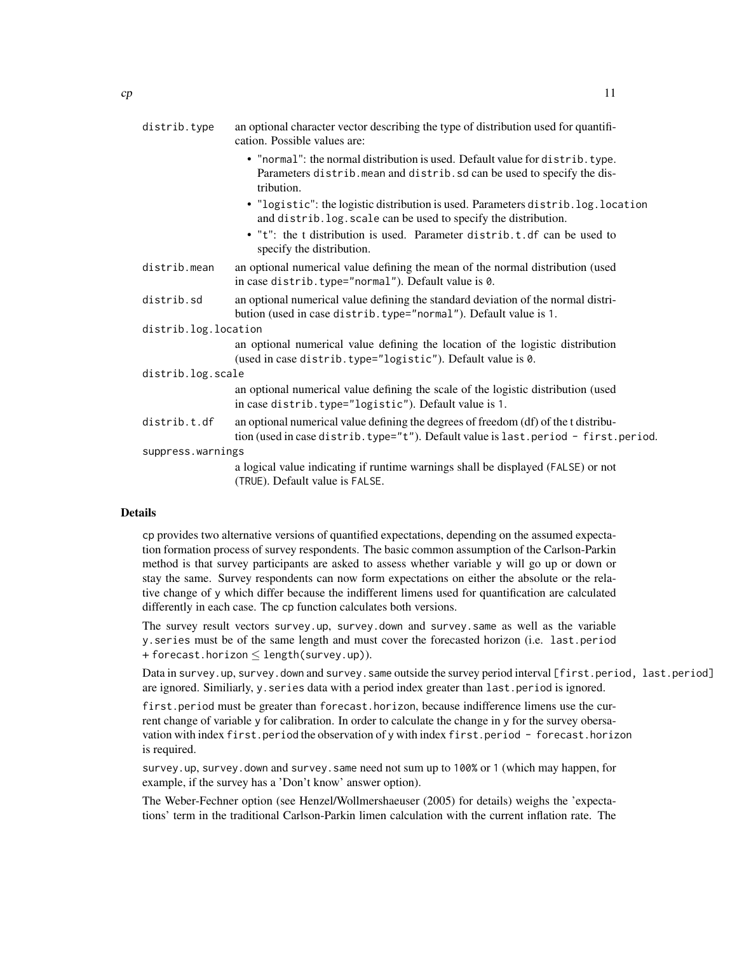| distrib.type         | an optional character vector describing the type of distribution used for quantifi-                                                                                       |
|----------------------|---------------------------------------------------------------------------------------------------------------------------------------------------------------------------|
|                      | cation. Possible values are:                                                                                                                                              |
|                      | • "normal": the normal distribution is used. Default value for distrib. type.<br>Parameters distrib. mean and distrib. sd can be used to specify the dis-<br>tribution.   |
|                      | • "logistic": the logistic distribution is used. Parameters distrib. log. location<br>and distrib. log. scale can be used to specify the distribution.                    |
|                      | • "t": the t distribution is used. Parameter distrib.t.df can be used to<br>specify the distribution.                                                                     |
| distrib.mean         | an optional numerical value defining the mean of the normal distribution (used<br>in case distrib.type="normal"). Default value is 0.                                     |
| distrib.sd           | an optional numerical value defining the standard deviation of the normal distri-<br>bution (used in case distrib. type="normal"). Default value is 1.                    |
| distrib.log.location |                                                                                                                                                                           |
|                      | an optional numerical value defining the location of the logistic distribution<br>(used in case distrib. type="logistic"). Default value is 0.                            |
| distrib.log.scale    |                                                                                                                                                                           |
|                      | an optional numerical value defining the scale of the logistic distribution (used<br>in case distrib.type="logistic"). Default value is 1.                                |
| distrib.t.df         | an optional numerical value defining the degrees of freedom (df) of the t distribu-<br>tion (used in case distrib.type="t"). Default value is last.period - first.period. |
| suppress.warnings    |                                                                                                                                                                           |
|                      | a logical value indicating if runtime warnings shall be displayed (FALSE) or not<br>(TRUE). Default value is FALSE.                                                       |
|                      |                                                                                                                                                                           |

#### Details

cp provides two alternative versions of quantified expectations, depending on the assumed expectation formation process of survey respondents. The basic common assumption of the Carlson-Parkin method is that survey participants are asked to assess whether variable y will go up or down or stay the same. Survey respondents can now form expectations on either the absolute or the relative change of y which differ because the indifferent limens used for quantification are calculated differently in each case. The cp function calculates both versions.

The survey result vectors survey.up, survey.down and survey.same as well as the variable y.series must be of the same length and must cover the forecasted horizon (i.e. last.period + forecast.horizon  $\leq$  length(survey.up)).

Data in survey.up, survey.down and survey.same outside the survey period interval [first.period, last.period] are ignored. Similiarly, y.series data with a period index greater than last.period is ignored.

first.period must be greater than forecast.horizon, because indifference limens use the current change of variable y for calibration. In order to calculate the change in y for the survey obersavation with index first.period the observation of y with index first.period - forecast.horizon is required.

survey.up, survey.down and survey.same need not sum up to 100% or 1 (which may happen, for example, if the survey has a 'Don't know' answer option).

The Weber-Fechner option (see Henzel/Wollmershaeuser (2005) for details) weighs the 'expectations' term in the traditional Carlson-Parkin limen calculation with the current inflation rate. The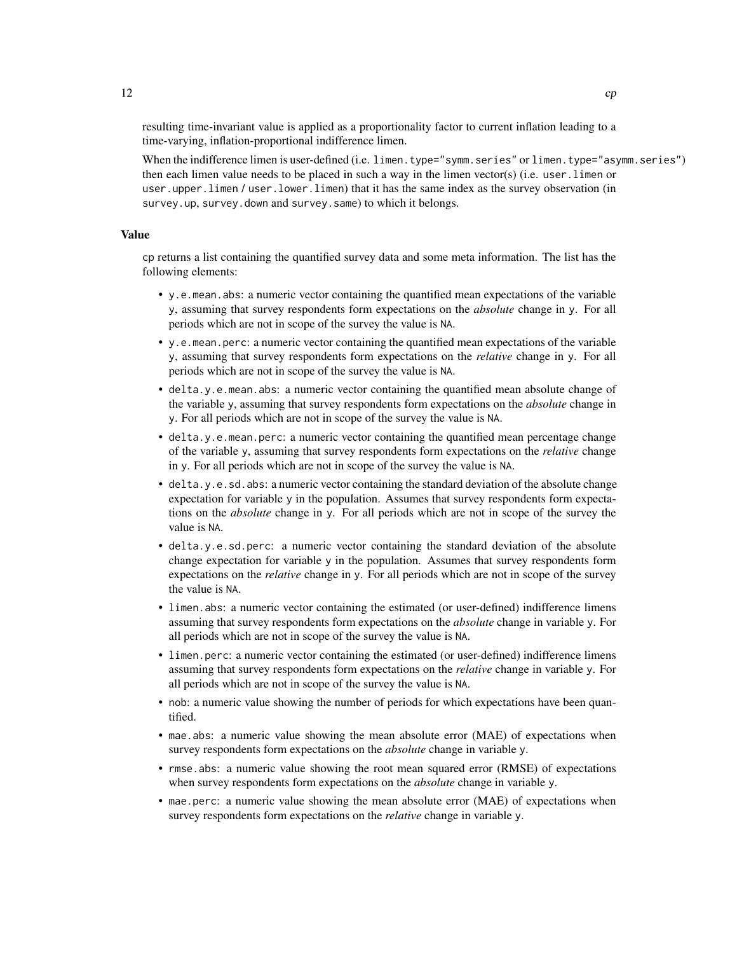resulting time-invariant value is applied as a proportionality factor to current inflation leading to a time-varying, inflation-proportional indifference limen.

When the indifference limen is user-defined (i.e. limen.type="symm.series" or limen.type="asymm.series") then each limen value needs to be placed in such a way in the limen vector(s) (i.e. user.limen or user.upper.limen / user.lower.limen) that it has the same index as the survey observation (in survey.up, survey.down and survey.same) to which it belongs.

#### Value

cp returns a list containing the quantified survey data and some meta information. The list has the following elements:

- y.e.mean.abs: a numeric vector containing the quantified mean expectations of the variable y, assuming that survey respondents form expectations on the *absolute* change in y. For all periods which are not in scope of the survey the value is NA.
- y.e.mean.perc: a numeric vector containing the quantified mean expectations of the variable y, assuming that survey respondents form expectations on the *relative* change in y. For all periods which are not in scope of the survey the value is NA.
- delta.y.e.mean.abs: a numeric vector containing the quantified mean absolute change of the variable y, assuming that survey respondents form expectations on the *absolute* change in y. For all periods which are not in scope of the survey the value is NA.
- delta.y.e.mean.perc: a numeric vector containing the quantified mean percentage change of the variable y, assuming that survey respondents form expectations on the *relative* change in y. For all periods which are not in scope of the survey the value is NA.
- delta.y.e.sd.abs: a numeric vector containing the standard deviation of the absolute change expectation for variable  $\gamma$  in the population. Assumes that survey respondents form expectations on the *absolute* change in y. For all periods which are not in scope of the survey the value is NA.
- delta.y.e.sd.perc: a numeric vector containing the standard deviation of the absolute change expectation for variable y in the population. Assumes that survey respondents form expectations on the *relative* change in y. For all periods which are not in scope of the survey the value is NA.
- limen.abs: a numeric vector containing the estimated (or user-defined) indifference limens assuming that survey respondents form expectations on the *absolute* change in variable y. For all periods which are not in scope of the survey the value is NA.
- limen.perc: a numeric vector containing the estimated (or user-defined) indifference limens assuming that survey respondents form expectations on the *relative* change in variable y. For all periods which are not in scope of the survey the value is NA.
- nob: a numeric value showing the number of periods for which expectations have been quantified.
- mae.abs: a numeric value showing the mean absolute error (MAE) of expectations when survey respondents form expectations on the *absolute* change in variable y.
- rmse.abs: a numeric value showing the root mean squared error (RMSE) of expectations when survey respondents form expectations on the *absolute* change in variable y.
- mae.perc: a numeric value showing the mean absolute error (MAE) of expectations when survey respondents form expectations on the *relative* change in variable y.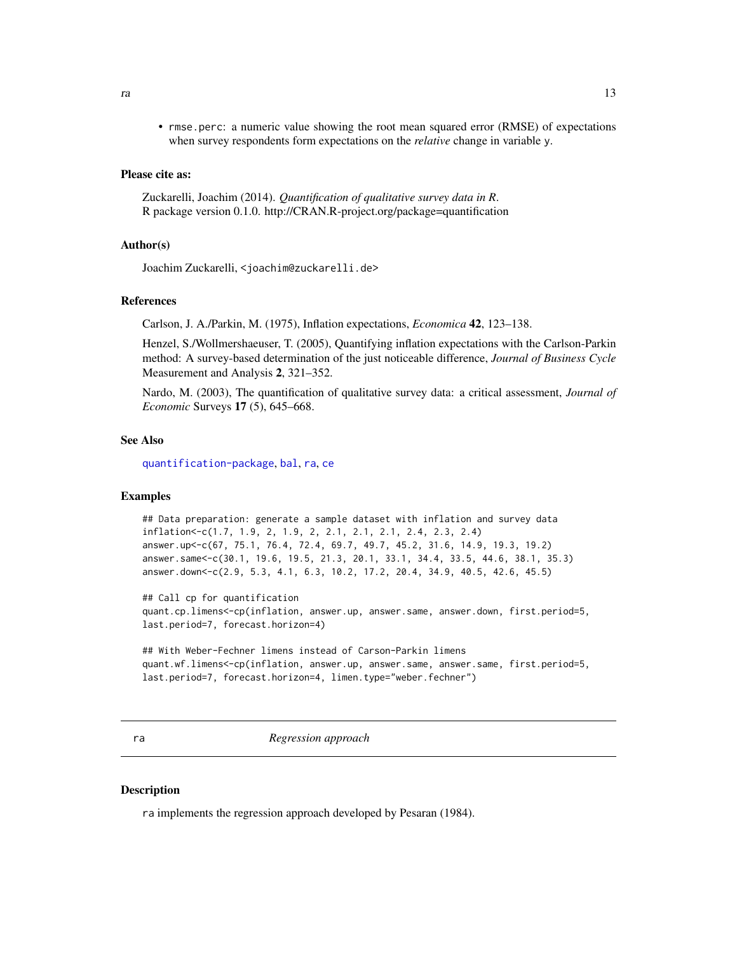<span id="page-12-0"></span>• rmse.perc: a numeric value showing the root mean squared error (RMSE) of expectations when survey respondents form expectations on the *relative* change in variable y.

#### Please cite as:

Zuckarelli, Joachim (2014). *Quantification of qualitative survey data in R*. R package version 0.1.0. http://CRAN.R-project.org/package=quantification

#### Author(s)

```
Joachim Zuckarelli, <joachim@zuckarelli.de>
```
#### References

Carlson, J. A./Parkin, M. (1975), Inflation expectations, *Economica* 42, 123–138.

Henzel, S./Wollmershaeuser, T. (2005), Quantifying inflation expectations with the Carlson-Parkin method: A survey-based determination of the just noticeable difference, *Journal of Business Cycle* Measurement and Analysis 2, 321–352.

Nardo, M. (2003), The quantification of qualitative survey data: a critical assessment, *Journal of Economic* Surveys 17 (5), 645–668.

### See Also

[quantification-package](#page-1-1), [bal](#page-2-1), [ra](#page-12-1), [ce](#page-5-1)

#### Examples

```
## Data preparation: generate a sample dataset with inflation and survey data
inflation<-c(1.7, 1.9, 2, 1.9, 2, 2.1, 2.1, 2.1, 2.4, 2.3, 2.4)
answer.up<-c(67, 75.1, 76.4, 72.4, 69.7, 49.7, 45.2, 31.6, 14.9, 19.3, 19.2)
answer.same<-c(30.1, 19.6, 19.5, 21.3, 20.1, 33.1, 34.4, 33.5, 44.6, 38.1, 35.3)
answer.down<-c(2.9, 5.3, 4.1, 6.3, 10.2, 17.2, 20.4, 34.9, 40.5, 42.6, 45.5)
```
## Call cp for quantification quant.cp.limens<-cp(inflation, answer.up, answer.same, answer.down, first.period=5, last.period=7, forecast.horizon=4)

```
## With Weber-Fechner limens instead of Carson-Parkin limens
quant.wf.limens<-cp(inflation, answer.up, answer.same, answer.same, first.period=5,
last.period=7, forecast.horizon=4, limen.type="weber.fechner")
```
<span id="page-12-1"></span>ra *Regression approach*

#### **Description**

ra implements the regression approach developed by Pesaran (1984).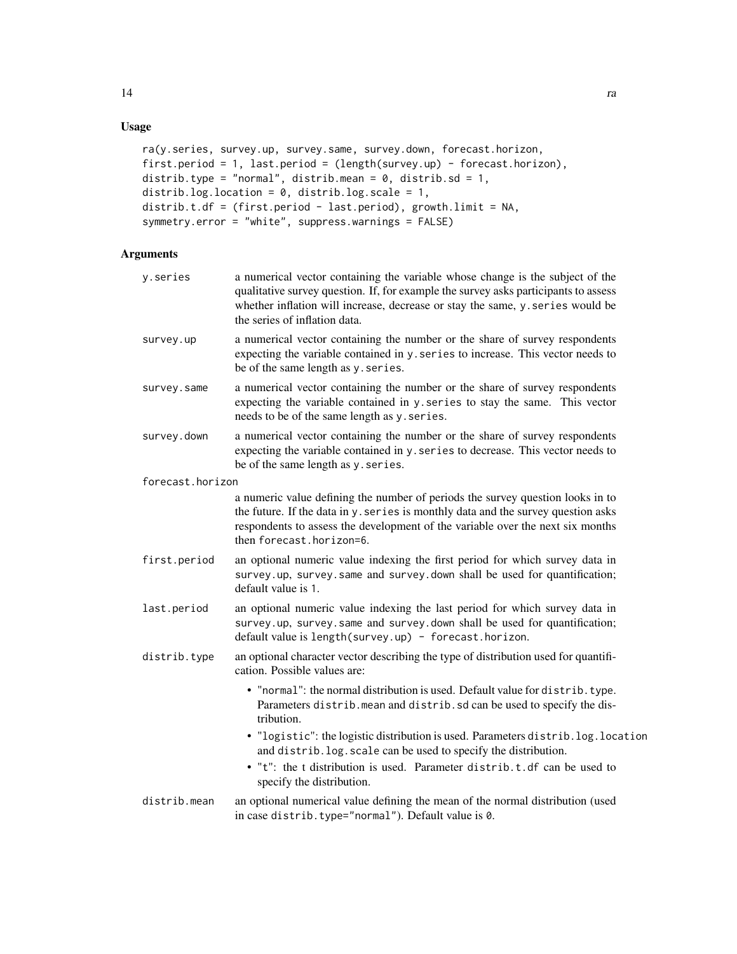### Usage

```
ra(y.series, survey.up, survey.same, survey.down, forecast.horizon,
first.period = 1, last.period = (length(survey.up) - forecast.horizon),
distrib.type = "normal", distrib.mean = 0, distrib.sd = 1,
distrib.log.location = 0, distrib.log.scale = 1,
distrib.t.df = (first.period - last.period), growth.limit = NA,
symmetry.error = "white", suppress.warnings = FALSE)
```
#### Arguments

| y.series         | a numerical vector containing the variable whose change is the subject of the<br>qualitative survey question. If, for example the survey asks participants to assess<br>whether inflation will increase, decrease or stay the same, y. series would be<br>the series of inflation data. |
|------------------|-----------------------------------------------------------------------------------------------------------------------------------------------------------------------------------------------------------------------------------------------------------------------------------------|
| survey.up        | a numerical vector containing the number or the share of survey respondents<br>expecting the variable contained in y. series to increase. This vector needs to<br>be of the same length as y. series.                                                                                   |
| survey.same      | a numerical vector containing the number or the share of survey respondents<br>expecting the variable contained in y. series to stay the same. This vector<br>needs to be of the same length as y. series.                                                                              |
| survey.down      | a numerical vector containing the number or the share of survey respondents<br>expecting the variable contained in y. series to decrease. This vector needs to<br>be of the same length as y. series.                                                                                   |
| forecast.horizon |                                                                                                                                                                                                                                                                                         |
|                  | a numeric value defining the number of periods the survey question looks in to<br>the future. If the data in y. series is monthly data and the survey question asks<br>respondents to assess the development of the variable over the next six months<br>then forecast.horizon=6.       |
| first.period     | an optional numeric value indexing the first period for which survey data in<br>survey.up, survey.same and survey.down shall be used for quantification;<br>default value is 1.                                                                                                         |
| last.period      | an optional numeric value indexing the last period for which survey data in<br>survey.up, survey.same and survey.down shall be used for quantification;<br>default value is length (survey.up) - forecast.horizon.                                                                      |
| distrib.type     | an optional character vector describing the type of distribution used for quantifi-<br>cation. Possible values are:                                                                                                                                                                     |
|                  | • "normal": the normal distribution is used. Default value for distrib. type.<br>Parameters distrib. mean and distrib. sd can be used to specify the dis-<br>tribution.                                                                                                                 |
|                  | • "logistic": the logistic distribution is used. Parameters distrib.log.location<br>and distrib. log. scale can be used to specify the distribution.                                                                                                                                    |
|                  | • "t": the t distribution is used. Parameter distrib.t.df can be used to<br>specify the distribution.                                                                                                                                                                                   |
| distrib.mean     | an optional numerical value defining the mean of the normal distribution (used<br>in case distrib. type="normal"). Default value is 0.                                                                                                                                                  |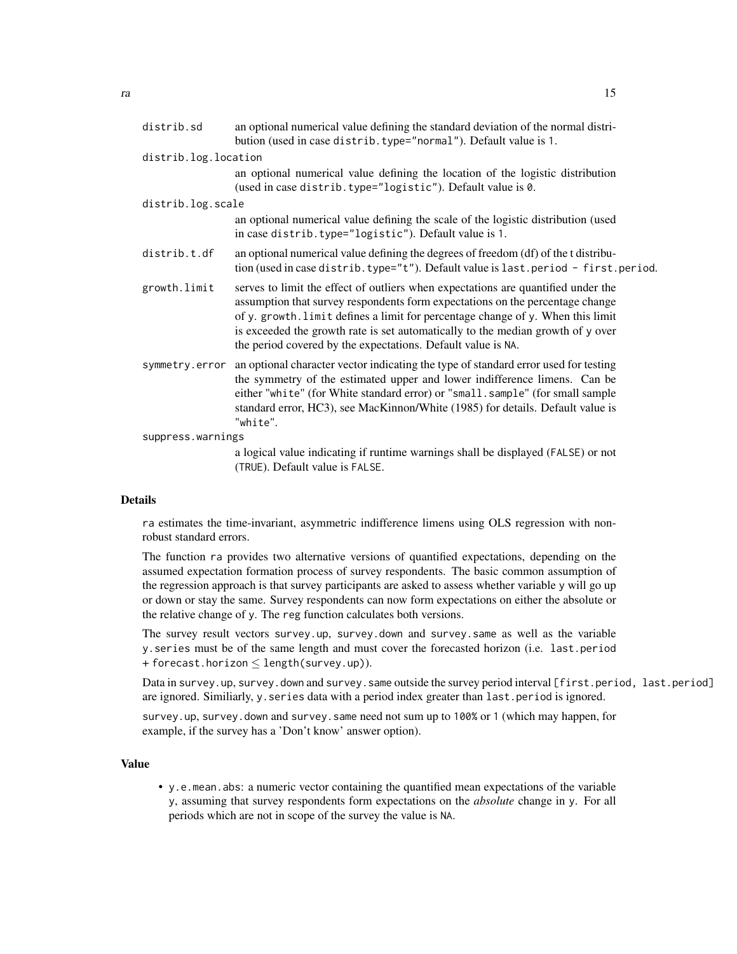| distrib.sd           | an optional numerical value defining the standard deviation of the normal distri-<br>bution (used in case distrib. type="normal"). Default value is 1.                                                                                                                                                                                                                                                   |  |  |  |  |  |  |
|----------------------|----------------------------------------------------------------------------------------------------------------------------------------------------------------------------------------------------------------------------------------------------------------------------------------------------------------------------------------------------------------------------------------------------------|--|--|--|--|--|--|
| distrib.log.location |                                                                                                                                                                                                                                                                                                                                                                                                          |  |  |  |  |  |  |
|                      | an optional numerical value defining the location of the logistic distribution<br>(used in case distrib.type="logistic"). Default value is 0.                                                                                                                                                                                                                                                            |  |  |  |  |  |  |
| distrib.log.scale    |                                                                                                                                                                                                                                                                                                                                                                                                          |  |  |  |  |  |  |
|                      | an optional numerical value defining the scale of the logistic distribution (used<br>in case distrib.type="logistic"). Default value is 1.                                                                                                                                                                                                                                                               |  |  |  |  |  |  |
| distrib.t.df         | an optional numerical value defining the degrees of freedom (df) of the t distribu-<br>tion (used in case distrib. type="t"). Default value is last. period - first. period.                                                                                                                                                                                                                             |  |  |  |  |  |  |
| growth.limit         | serves to limit the effect of outliers when expectations are quantified under the<br>assumption that survey respondents form expectations on the percentage change<br>of y. growth. limit defines a limit for percentage change of y. When this limit<br>is exceeded the growth rate is set automatically to the median growth of y over<br>the period covered by the expectations. Default value is NA. |  |  |  |  |  |  |
| symmetry.error       | an optional character vector indicating the type of standard error used for testing<br>the symmetry of the estimated upper and lower indifference limens. Can be<br>either "white" (for White standard error) or "small.sample" (for small sample<br>standard error, HC3), see MacKinnon/White (1985) for details. Default value is<br>"white".                                                          |  |  |  |  |  |  |
| suppress.warnings    |                                                                                                                                                                                                                                                                                                                                                                                                          |  |  |  |  |  |  |
|                      | a logical value indicating if runtime warnings shall be displayed (FALSE) or not<br>(TRUE). Default value is FALSE.                                                                                                                                                                                                                                                                                      |  |  |  |  |  |  |

#### Details

ra estimates the time-invariant, asymmetric indifference limens using OLS regression with nonrobust standard errors.

The function ra provides two alternative versions of quantified expectations, depending on the assumed expectation formation process of survey respondents. The basic common assumption of the regression approach is that survey participants are asked to assess whether variable y will go up or down or stay the same. Survey respondents can now form expectations on either the absolute or the relative change of y. The reg function calculates both versions.

The survey result vectors survey.up, survey.down and survey.same as well as the variable y.series must be of the same length and must cover the forecasted horizon (i.e. last.period + forecast.horizon  $\leq$  length(survey.up)).

Data in survey.up, survey.down and survey.same outside the survey period interval [first.period, last.period] are ignored. Similiarly, y.series data with a period index greater than last.period is ignored.

survey.up, survey.down and survey.same need not sum up to 100% or 1 (which may happen, for example, if the survey has a 'Don't know' answer option).

#### Value

• y.e.mean.abs: a numeric vector containing the quantified mean expectations of the variable y, assuming that survey respondents form expectations on the *absolute* change in y. For all periods which are not in scope of the survey the value is NA.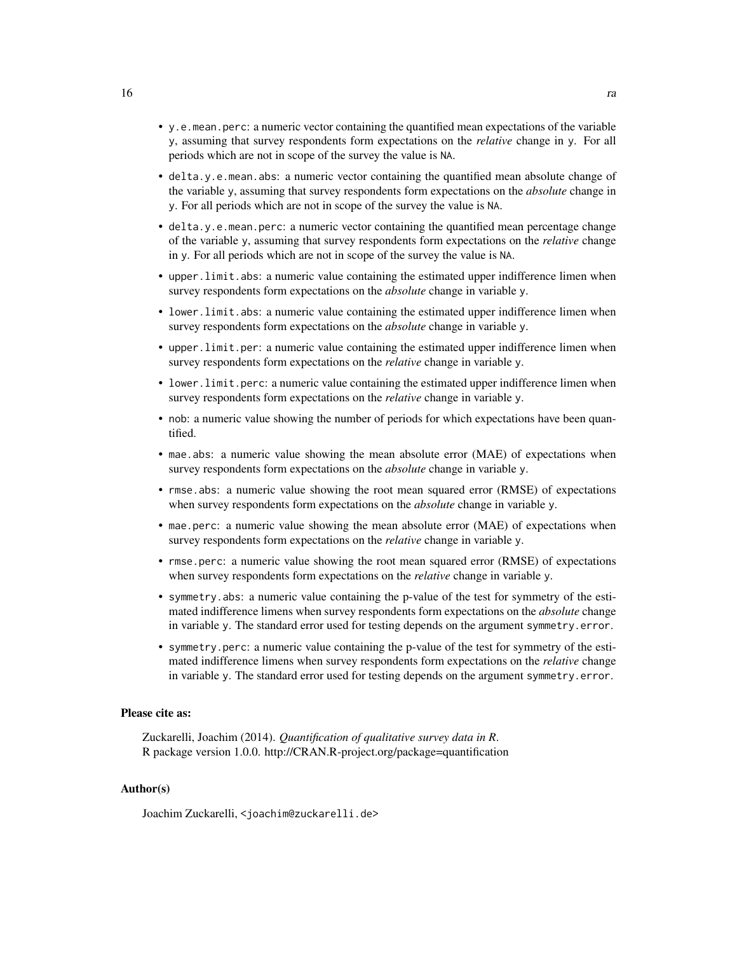- y.e.mean.perc: a numeric vector containing the quantified mean expectations of the variable y, assuming that survey respondents form expectations on the *relative* change in y. For all periods which are not in scope of the survey the value is NA.
- delta.y.e.mean.abs: a numeric vector containing the quantified mean absolute change of the variable y, assuming that survey respondents form expectations on the *absolute* change in y. For all periods which are not in scope of the survey the value is NA.
- delta.y.e.mean.perc: a numeric vector containing the quantified mean percentage change of the variable y, assuming that survey respondents form expectations on the *relative* change in y. For all periods which are not in scope of the survey the value is NA.
- upper.limit.abs: a numeric value containing the estimated upper indifference limen when survey respondents form expectations on the *absolute* change in variable y.
- lower.limit.abs: a numeric value containing the estimated upper indifference limen when survey respondents form expectations on the *absolute* change in variable y.
- upper.limit.per: a numeric value containing the estimated upper indifference limen when survey respondents form expectations on the *relative* change in variable y.
- lower.limit.perc: a numeric value containing the estimated upper indifference limen when survey respondents form expectations on the *relative* change in variable y.
- nob: a numeric value showing the number of periods for which expectations have been quantified.
- mae.abs: a numeric value showing the mean absolute error (MAE) of expectations when survey respondents form expectations on the *absolute* change in variable y.
- rmse.abs: a numeric value showing the root mean squared error (RMSE) of expectations when survey respondents form expectations on the *absolute* change in variable y.
- mae.perc: a numeric value showing the mean absolute error (MAE) of expectations when survey respondents form expectations on the *relative* change in variable y.
- rmse.perc: a numeric value showing the root mean squared error (RMSE) of expectations when survey respondents form expectations on the *relative* change in variable y.
- symmetry.abs: a numeric value containing the p-value of the test for symmetry of the estimated indifference limens when survey respondents form expectations on the *absolute* change in variable y. The standard error used for testing depends on the argument symmetry.error.
- symmetry.perc: a numeric value containing the p-value of the test for symmetry of the estimated indifference limens when survey respondents form expectations on the *relative* change in variable y. The standard error used for testing depends on the argument symmetry.error.

#### Please cite as:

Zuckarelli, Joachim (2014). *Quantification of qualitative survey data in R*. R package version 1.0.0. http://CRAN.R-project.org/package=quantification

#### Author(s)

Joachim Zuckarelli, <joachim@zuckarelli.de>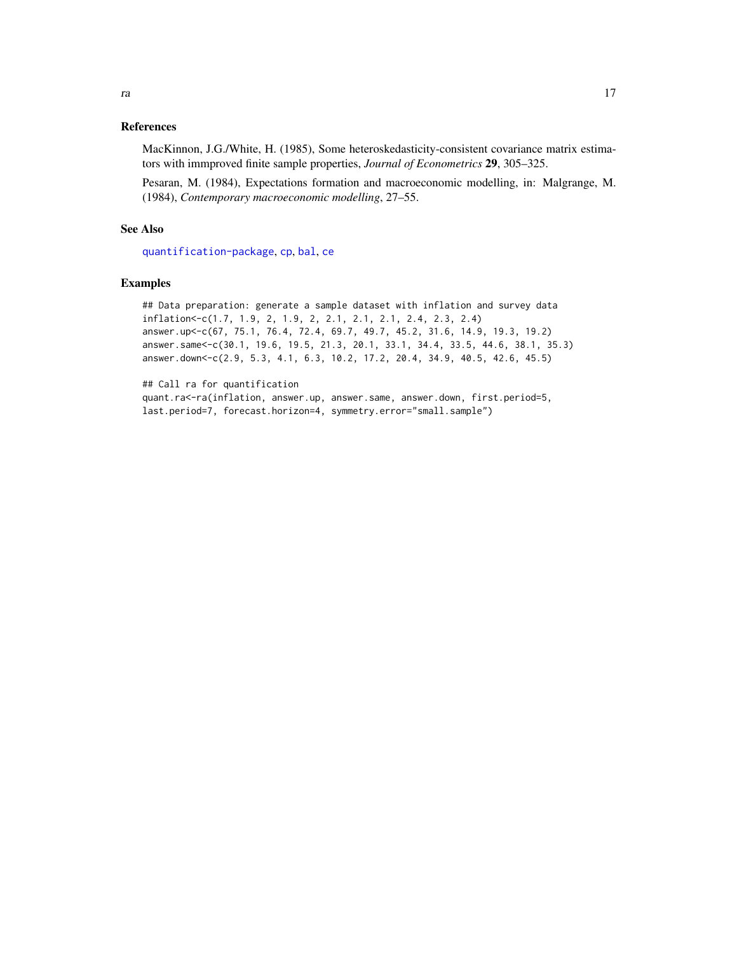#### <span id="page-16-0"></span>References

MacKinnon, J.G./White, H. (1985), Some heteroskedasticity-consistent covariance matrix estimators with immproved finite sample properties, *Journal of Econometrics* 29, 305–325.

Pesaran, M. (1984), Expectations formation and macroeconomic modelling, in: Malgrange, M. (1984), *Contemporary macroeconomic modelling*, 27–55.

#### See Also

[quantification-package](#page-1-1), [cp](#page-8-1), [bal](#page-2-1), [ce](#page-5-1)

#### Examples

```
## Data preparation: generate a sample dataset with inflation and survey data
inflation<-c(1.7, 1.9, 2, 1.9, 2, 2.1, 2.1, 2.1, 2.4, 2.3, 2.4)
answer.up<-c(67, 75.1, 76.4, 72.4, 69.7, 49.7, 45.2, 31.6, 14.9, 19.3, 19.2)
answer.same<-c(30.1, 19.6, 19.5, 21.3, 20.1, 33.1, 34.4, 33.5, 44.6, 38.1, 35.3)
answer.down<-c(2.9, 5.3, 4.1, 6.3, 10.2, 17.2, 20.4, 34.9, 40.5, 42.6, 45.5)
```
## Call ra for quantification

quant.ra<-ra(inflation, answer.up, answer.same, answer.down, first.period=5, last.period=7, forecast.horizon=4, symmetry.error="small.sample")